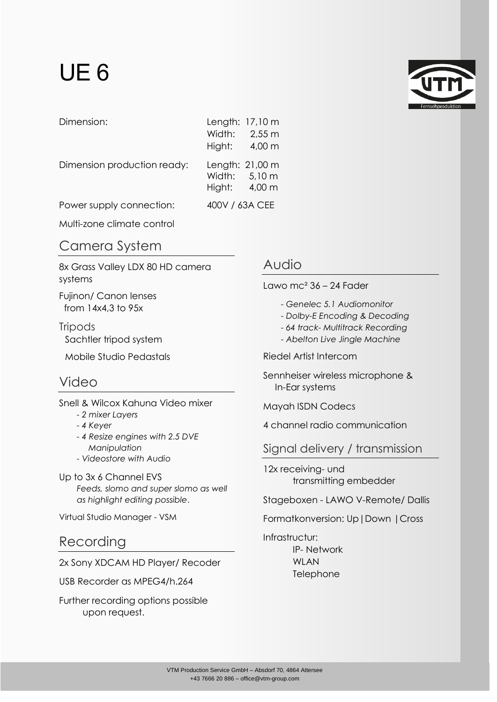# UE 6



| Dimension:                  |                | Length: 17,10 m                  |
|-----------------------------|----------------|----------------------------------|
|                             |                | Width: 2,55 m                    |
|                             |                | Hight: $4,00 \text{ m}$          |
| Dimension production ready: | Hight: 4,00 m  | Length: 21,00 m<br>Width: 5,10 m |
| Power supply connection:    | 400V / 63A CEE |                                  |

Multi-zone climate control

## Camera System

8x Grass Valley LDX 80 HD camera systems

Fujinon/ Canon lenses from 14x4,3 to 95x

**Tripods** Sachtler tripod system

Mobile Studio Pedastals

# Video

Snell & Wilcox Kahuna Video mixer

- *- 2 mixer Layers*
- *- 4 Keyer*
- *- 4 Resize engines with 2.5 DVE Manipulation*
- *- Videostore with Audio*
- Up to 3x 6 Channel EVS *Feeds, slomo and super slomo as well as highlight editing possible*.

Virtual Studio Manager - VSM

## Recording

2x Sony XDCAM HD Player/ Recoder

USB Recorder as MPEG4/h.264

Further recording options possible upon request.

#### Audio

Lawo mc<sup> $2$ </sup> 36 – 24 Fader

- *- Genelec 5.1 Audiomonitor*
- *- Dolby-E Encoding & Decoding*
- *- 64 track- Multitrack Recording*
- *- Abelton Live Jingle Machine*

Riedel Artist Intercom

Sennheiser wireless microphone & In-Ear systems

Mayah ISDN Codecs

4 channel radio communication

Signal delivery / transmission

12x receiving- und transmitting embedder

Stageboxen - LAWO V-Remote/ Dallis

Formatkonversion: Up|Down |Cross

Infrastructur: IP- Network WLAN Telephone